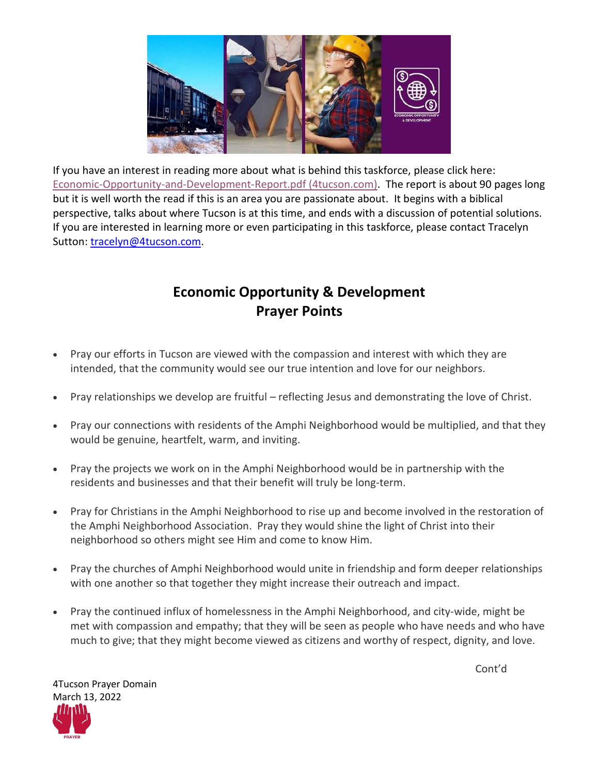

If you have an interest in reading more about what is behind this taskforce, please click here: [Economic-Opportunity-and-Development-Report.pdf \(4tucson.com\).](https://www.4tucson.com/wp-content/uploads/2019/11/Economic-Opportunity-and-Development-Report.pdf) The report is about 90 pages long but it is well worth the read if this is an area you are passionate about. It begins with a biblical perspective, talks about where Tucson is at this time, and ends with a discussion of potential solutions. If you are interested in learning more or even participating in this taskforce, please contact Tracelyn Sutton: [tracelyn@4tucson.com.](mailto:tracelyn@4tucson.com)

## **Economic Opportunity & Development Prayer Points**

- Pray our efforts in Tucson are viewed with the compassion and interest with which they are intended, that the community would see our true intention and love for our neighbors.
- Pray relationships we develop are fruitful reflecting Jesus and demonstrating the love of Christ.
- Pray our connections with residents of the Amphi Neighborhood would be multiplied, and that they would be genuine, heartfelt, warm, and inviting.
- Pray the projects we work on in the Amphi Neighborhood would be in partnership with the residents and businesses and that their benefit will truly be long-term.
- Pray for Christians in the Amphi Neighborhood to rise up and become involved in the restoration of the Amphi Neighborhood Association. Pray they would shine the light of Christ into their neighborhood so others might see Him and come to know Him.
- Pray the churches of Amphi Neighborhood would unite in friendship and form deeper relationships with one another so that together they might increase their outreach and impact.
- Pray the continued influx of homelessness in the Amphi Neighborhood, and city-wide, might be met with compassion and empathy; that they will be seen as people who have needs and who have much to give; that they might become viewed as citizens and worthy of respect, dignity, and love.

Cont'd

4Tucson Prayer Domain March 13, 2022